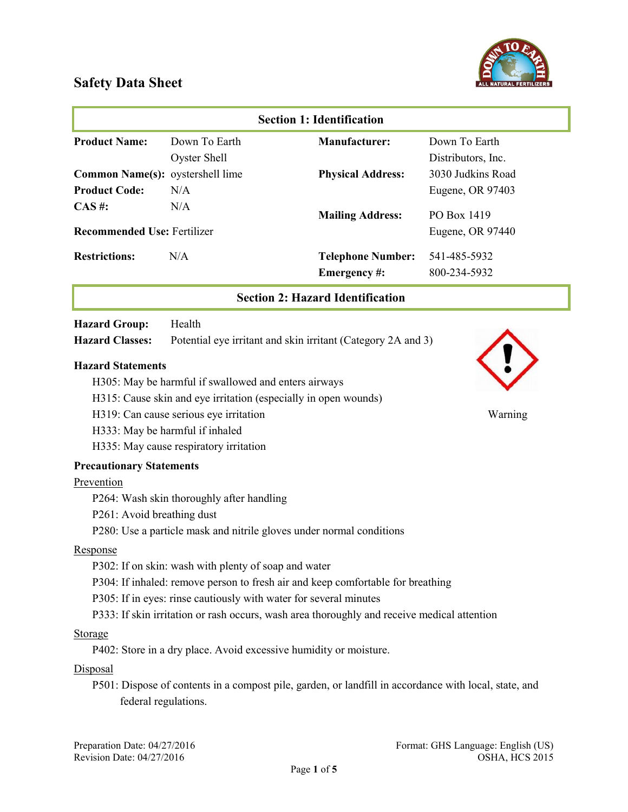

|                                    |                                                      | <b>Section 1: Identification</b>                                     |                    |
|------------------------------------|------------------------------------------------------|----------------------------------------------------------------------|--------------------|
| <b>Product Name:</b>               | Down To Earth                                        | <b>Manufacturer:</b>                                                 | Down To Earth      |
|                                    | <b>Oyster Shell</b>                                  |                                                                      | Distributors, Inc. |
| Common Name(s): oystershell lime   |                                                      | <b>Physical Address:</b>                                             | 3030 Judkins Road  |
| <b>Product Code:</b>               | N/A                                                  |                                                                      | Eugene, OR 97403   |
| $CAS \#$ :                         | N/A                                                  | <b>Mailing Address:</b>                                              | PO Box 1419        |
| <b>Recommended Use: Fertilizer</b> |                                                      |                                                                      | Eugene, OR 97440   |
| <b>Restrictions:</b>               | N/A                                                  | <b>Telephone Number:</b>                                             | 541-485-5932       |
|                                    |                                                      | Emergency#:                                                          | 800-234-5932       |
|                                    |                                                      | <b>Section 2: Hazard Identification</b>                              |                    |
| <b>Hazard Group:</b>               | Health                                               |                                                                      |                    |
| <b>Hazard Classes:</b>             |                                                      | Potential eye irritant and skin irritant (Category 2A and 3)         |                    |
| <b>Hazard Statements</b>           |                                                      |                                                                      |                    |
|                                    | H305: May be harmful if swallowed and enters airways |                                                                      |                    |
|                                    |                                                      | H315: Cause skin and eye irritation (especially in open wounds)      |                    |
|                                    | H319: Can cause serious eye irritation               |                                                                      | Warning            |
|                                    | H333: May be harmful if inhaled                      |                                                                      |                    |
|                                    | H335: May cause respiratory irritation               |                                                                      |                    |
| <b>Precautionary Statements</b>    |                                                      |                                                                      |                    |
| Prevention                         |                                                      |                                                                      |                    |
|                                    | P264: Wash skin thoroughly after handling            |                                                                      |                    |
| P261: Avoid breathing dust         |                                                      |                                                                      |                    |
|                                    |                                                      | P280: Use a particle mask and nitrile gloves under normal conditions |                    |
| Response                           |                                                      |                                                                      |                    |
|                                    | P302: If on skin: wash with plenty of soap and water |                                                                      |                    |

- P304: If inhaled: remove person to fresh air and keep comfortable for breathing
- P305: If in eyes: rinse cautiously with water for several minutes
- P333: If skin irritation or rash occurs, wash area thoroughly and receive medical attention

#### Storage

P402: Store in a dry place. Avoid excessive humidity or moisture.

#### **Disposal**

P501: Dispose of contents in a compost pile, garden, or landfill in accordance with local, state, and federal regulations.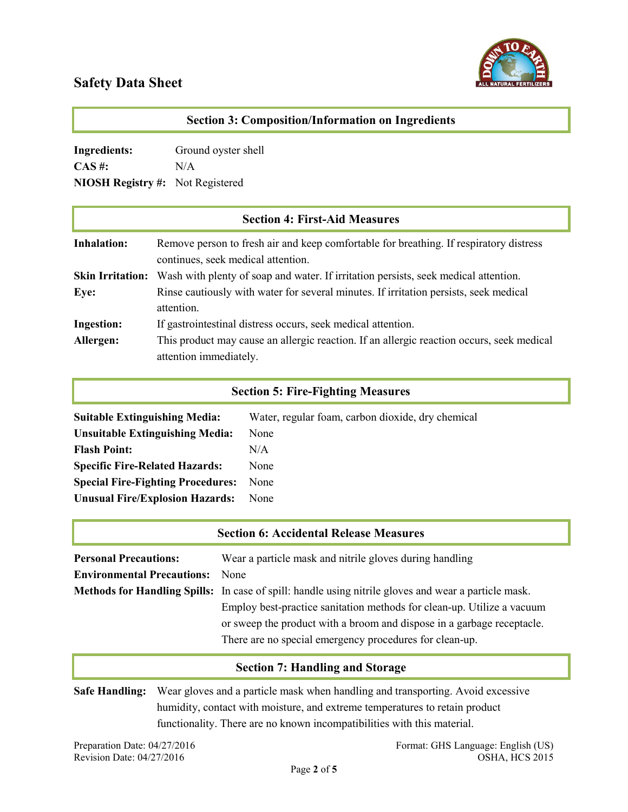

| <b>Section 3: Composition/Information on Ingredients</b> |                                                                                                                              |  |
|----------------------------------------------------------|------------------------------------------------------------------------------------------------------------------------------|--|
| <b>Ingredients:</b>                                      | Ground oyster shell                                                                                                          |  |
| $CAS \#$ :                                               | N/A                                                                                                                          |  |
| <b>NIOSH Registry #:</b><br>Not Registered               |                                                                                                                              |  |
|                                                          | <b>Section 4: First-Aid Measures</b>                                                                                         |  |
| <b>Inhalation:</b>                                       | Remove person to fresh air and keep comfortable for breathing. If respiratory distress<br>continues, seek medical attention. |  |
| <b>Skin Irritation:</b>                                  | Wash with plenty of soap and water. If irritation persists, seek medical attention.                                          |  |
| Eye:                                                     | Rinse cautiously with water for several minutes. If irritation persists, seek medical<br>attention.                          |  |
| <b>Ingestion:</b>                                        | If gastrointestinal distress occurs, seek medical attention.                                                                 |  |
| Allergen:                                                | This product may cause an allergic reaction. If an allergic reaction occurs, seek medical<br>attention immediately.          |  |

### Section 5: Fire-Fighting Measures

| <b>Suitable Extinguishing Media:</b>     | Water, regular foam, carbon dioxide, dry chemical |
|------------------------------------------|---------------------------------------------------|
| <b>Unsuitable Extinguishing Media:</b>   | None                                              |
| <b>Flash Point:</b>                      | N/A                                               |
| <b>Specific Fire-Related Hazards:</b>    | None                                              |
| <b>Special Fire-Fighting Procedures:</b> | None                                              |
| <b>Unusual Fire/Explosion Hazards:</b>   | None                                              |

|                                   | <b>Section 6: Accidental Release Measures</b>                                                                                                                                                               |
|-----------------------------------|-------------------------------------------------------------------------------------------------------------------------------------------------------------------------------------------------------------|
| <b>Personal Precautions:</b>      | Wear a particle mask and nitrile gloves during handling                                                                                                                                                     |
| <b>Environmental Precautions:</b> | <b>None</b>                                                                                                                                                                                                 |
|                                   | <b>Methods for Handling Spills:</b> In case of spill: handle using nitrile gloves and wear a particle mask.                                                                                                 |
|                                   | Employ best-practice sanitation methods for clean-up. Utilize a vacuum<br>or sweep the product with a broom and dispose in a garbage receptacle.<br>There are no special emergency procedures for clean-up. |

### Section 7: Handling and Storage

Safe Handling: Wear gloves and a particle mask when handling and transporting. Avoid excessive humidity, contact with moisture, and extreme temperatures to retain product functionality. There are no known incompatibilities with this material.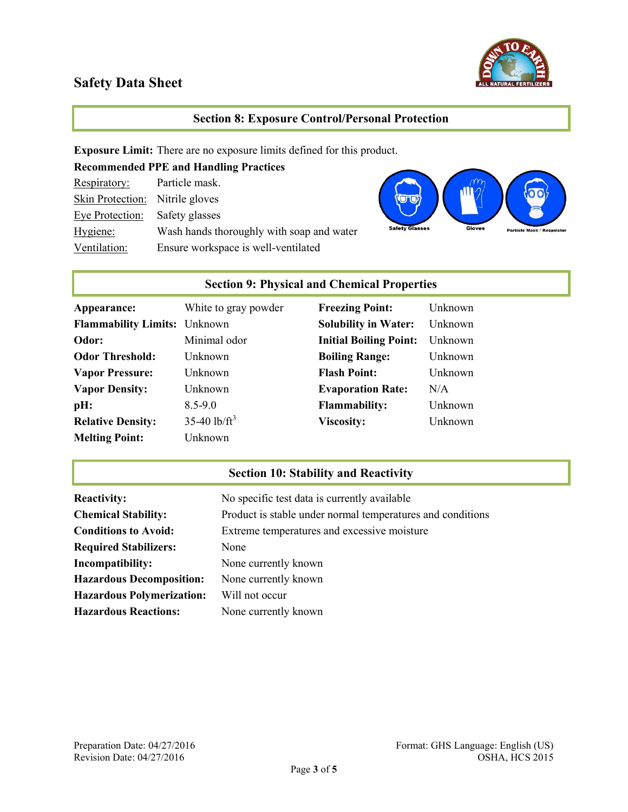

#### Section 8: Exposure Control/Personal Protection

Exposure Limit: There are no exposure limits defined for this product.

| <b>Recommended PPE and Handling Practices</b> |                                           |  |
|-----------------------------------------------|-------------------------------------------|--|
| Respiratory:                                  | Particle mask.                            |  |
| Skin Protection: Nitrile gloves               |                                           |  |
| <b>Eve Protection:</b> Safety glasses         |                                           |  |
| Hygiene:                                      | Wash hands thoroughly with soap and water |  |
| Ventilation:                                  | Ensure workspace is well-ventilated       |  |



## Section 9: Physical and Chemical Properties

| Appearance:                         | White to gray powder       | <b>Freezing Point:</b>        | Unknown |
|-------------------------------------|----------------------------|-------------------------------|---------|
| <b>Flammability Limits:</b> Unknown |                            | <b>Solubility in Water:</b>   | Unknown |
| Odor:                               | Minimal odor               | <b>Initial Boiling Point:</b> | Unknown |
| <b>Odor Threshold:</b>              | Unknown                    | <b>Boiling Range:</b>         | Unknown |
| <b>Vapor Pressure:</b>              | Unknown                    | <b>Flash Point:</b>           | Unknown |
| <b>Vapor Density:</b>               | Unknown                    | <b>Evaporation Rate:</b>      | N/A     |
| pH:                                 | $8.5 - 9.0$                | <b>Flammability:</b>          | Unknown |
| <b>Relative Density:</b>            | $35-40$ lb/ft <sup>3</sup> | <b>Viscosity:</b>             | Unknown |
| <b>Melting Point:</b>               | Unknown                    |                               |         |

## Section 10: Stability and Reactivity

| <b>Reactivity:</b>               | No specific test data is currently available               |
|----------------------------------|------------------------------------------------------------|
| <b>Chemical Stability:</b>       | Product is stable under normal temperatures and conditions |
| <b>Conditions to Avoid:</b>      | Extreme temperatures and excessive moisture                |
| <b>Required Stabilizers:</b>     | None                                                       |
| Incompatibility:                 | None currently known                                       |
| <b>Hazardous Decomposition:</b>  | None currently known                                       |
| <b>Hazardous Polymerization:</b> | Will not occur                                             |
| <b>Hazardous Reactions:</b>      | None currently known                                       |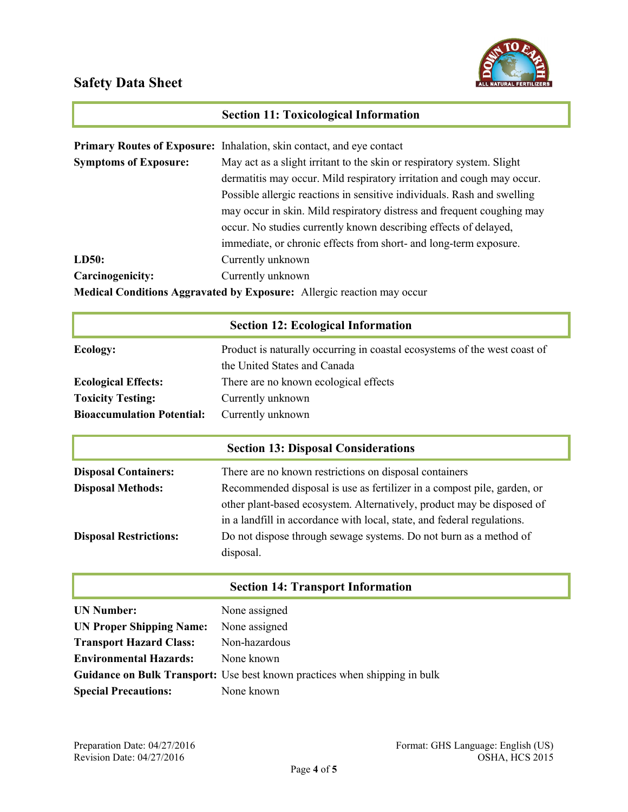

## Section 11: Toxicological Information

|                                                                               | <b>Primary Routes of Exposure:</b> Inhalation, skin contact, and eye contact |  |
|-------------------------------------------------------------------------------|------------------------------------------------------------------------------|--|
| <b>Symptoms of Exposure:</b>                                                  | May act as a slight irritant to the skin or respiratory system. Slight       |  |
|                                                                               | dermatitis may occur. Mild respiratory irritation and cough may occur.       |  |
|                                                                               | Possible allergic reactions in sensitive individuals. Rash and swelling      |  |
|                                                                               | may occur in skin. Mild respiratory distress and frequent coughing may       |  |
|                                                                               | occur. No studies currently known describing effects of delayed,             |  |
|                                                                               | immediate, or chronic effects from short- and long-term exposure.            |  |
| LD50:                                                                         | Currently unknown                                                            |  |
| Carcinogenicity:                                                              | Currently unknown                                                            |  |
| <b>Medical Conditions Aggravated by Exposure:</b> Allergic reaction may occur |                                                                              |  |

| <b>Section 12: Ecological Information</b>  |                                                                                                           |  |
|--------------------------------------------|-----------------------------------------------------------------------------------------------------------|--|
| Ecology:                                   | Product is naturally occurring in coastal ecosystems of the west coast of<br>the United States and Canada |  |
| <b>Ecological Effects:</b>                 | There are no known ecological effects                                                                     |  |
| <b>Toxicity Testing:</b>                   | Currently unknown                                                                                         |  |
| <b>Bioaccumulation Potential:</b>          | Currently unknown                                                                                         |  |
|                                            |                                                                                                           |  |
| <b>Section 13: Disposal Considerations</b> |                                                                                                           |  |

| <b>Disposal Containers:</b>   | There are no known restrictions on disposal containers                  |  |
|-------------------------------|-------------------------------------------------------------------------|--|
| <b>Disposal Methods:</b>      | Recommended disposal is use as fertilizer in a compost pile, garden, or |  |
|                               | other plant-based ecosystem. Alternatively, product may be disposed of  |  |
|                               | in a landfill in accordance with local, state, and federal regulations. |  |
| <b>Disposal Restrictions:</b> | Do not dispose through sewage systems. Do not burn as a method of       |  |
|                               | disposal.                                                               |  |

#### Section 14: Transport Information

| <b>UN Number:</b>               | None assigned                                                              |
|---------------------------------|----------------------------------------------------------------------------|
| <b>UN Proper Shipping Name:</b> | None assigned                                                              |
| <b>Transport Hazard Class:</b>  | Non-hazardous                                                              |
| <b>Environmental Hazards:</b>   | None known                                                                 |
|                                 | Guidance on Bulk Transport: Use best known practices when shipping in bulk |
| <b>Special Precautions:</b>     | None known                                                                 |